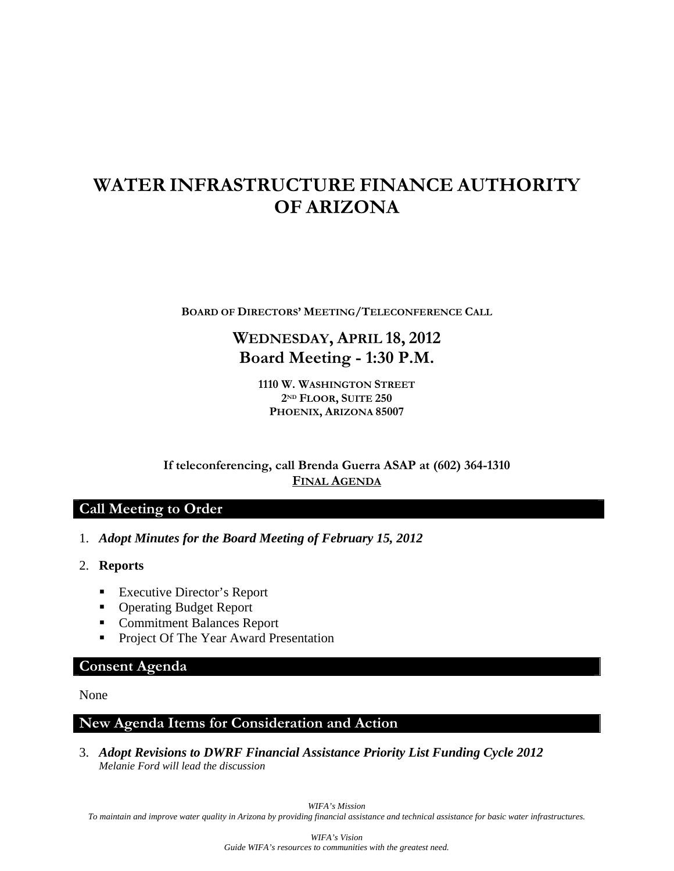# **WATER INFRASTRUCTURE FINANCE AUTHORITY OF ARIZONA**

**BOARD OF DIRECTORS' MEETING/TELECONFERENCE CALL**

## **WEDNESDAY, APRIL 18, 2012 Board Meeting - 1:30 P.M.**

**1110 W. WASHINGTON STREET 2ND FLOOR, SUITE 250 PHOENIX, ARIZONA 85007** 

**If teleconferencing, call Brenda Guerra ASAP at (602) 364-1310 FINAL AGENDA**

## **Call Meeting to Order**

- 1. *Adopt Minutes for the Board Meeting of February 15, 2012*
- 2. **Reports** 
	- **Executive Director's Report**
	- Operating Budget Report
	- Commitment Balances Report
	- **Project Of The Year Award Presentation**

### **Consent Agenda**

None

### **New Agenda Items for Consideration and Action**

3. *Adopt Revisions to DWRF Financial Assistance Priority List Funding Cycle 2012 Melanie Ford will lead the discussion*

*WIFA's Mission* 

*To maintain and improve water quality in Arizona by providing financial assistance and technical assistance for basic water infrastructures.*